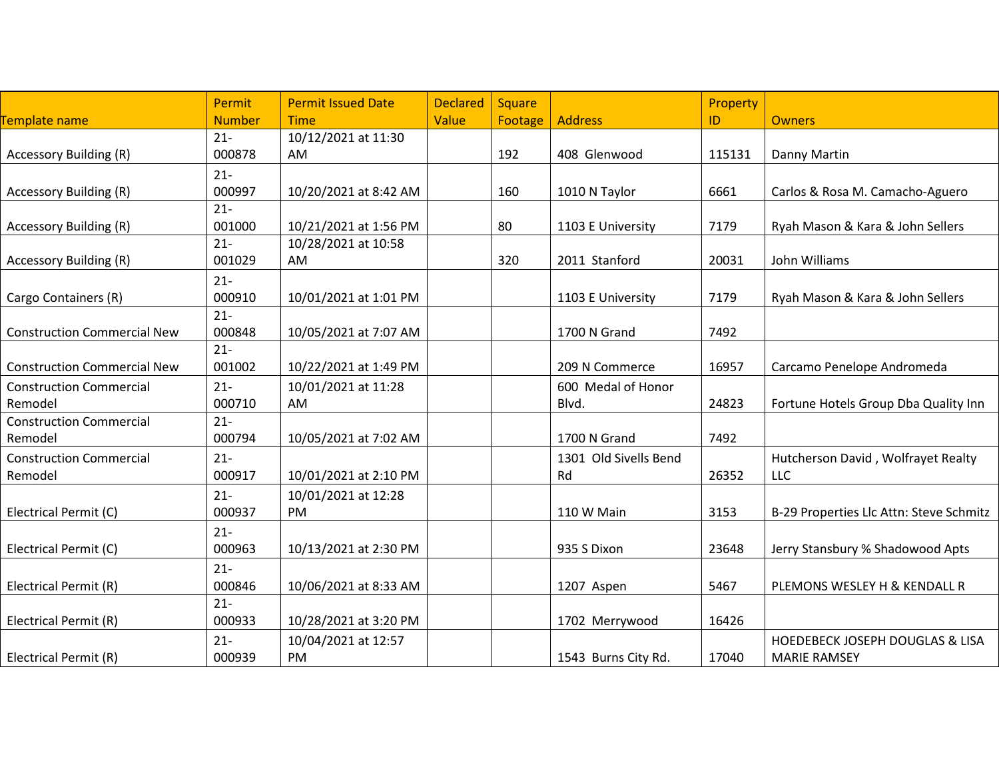|                                    | Permit        | <b>Permit Issued Date</b> | <b>Declared</b> | Square  |                       | Property |                                            |
|------------------------------------|---------------|---------------------------|-----------------|---------|-----------------------|----------|--------------------------------------------|
| Template name                      | <b>Number</b> | <b>Time</b>               | Value           | Footage | <b>Address</b>        | ID       | <b>Owners</b>                              |
|                                    | $21 -$        | 10/12/2021 at 11:30       |                 |         |                       |          |                                            |
| <b>Accessory Building (R)</b>      | 000878        | AM                        |                 | 192     | 408 Glenwood          | 115131   | Danny Martin                               |
|                                    | $21 -$        |                           |                 |         |                       |          |                                            |
| <b>Accessory Building (R)</b>      | 000997        | 10/20/2021 at 8:42 AM     |                 | 160     | 1010 N Taylor         | 6661     | Carlos & Rosa M. Camacho-Aguero            |
|                                    | $21 -$        |                           |                 |         |                       |          |                                            |
| <b>Accessory Building (R)</b>      | 001000        | 10/21/2021 at 1:56 PM     |                 | 80      | 1103 E University     | 7179     | Ryah Mason & Kara & John Sellers           |
|                                    | $21 -$        | 10/28/2021 at 10:58       |                 |         |                       |          |                                            |
| <b>Accessory Building (R)</b>      | 001029        | AM                        |                 | 320     | 2011 Stanford         | 20031    | John Williams                              |
|                                    | $21 -$        |                           |                 |         |                       |          |                                            |
| Cargo Containers (R)               | 000910        | 10/01/2021 at 1:01 PM     |                 |         | 1103 E University     | 7179     | Ryah Mason & Kara & John Sellers           |
|                                    | $21 -$        |                           |                 |         |                       |          |                                            |
| <b>Construction Commercial New</b> | 000848        | 10/05/2021 at 7:07 AM     |                 |         | 1700 N Grand          | 7492     |                                            |
|                                    | $21 -$        |                           |                 |         |                       |          |                                            |
| <b>Construction Commercial New</b> | 001002        | 10/22/2021 at 1:49 PM     |                 |         | 209 N Commerce        | 16957    | Carcamo Penelope Andromeda                 |
| <b>Construction Commercial</b>     | $21 -$        | 10/01/2021 at 11:28       |                 |         | 600 Medal of Honor    |          |                                            |
| Remodel                            | 000710        | AM                        |                 |         | Blvd.                 | 24823    | Fortune Hotels Group Dba Quality Inn       |
| <b>Construction Commercial</b>     | $21 -$        |                           |                 |         |                       |          |                                            |
| Remodel                            | 000794        | 10/05/2021 at 7:02 AM     |                 |         | 1700 N Grand          | 7492     |                                            |
| <b>Construction Commercial</b>     | $21 -$        |                           |                 |         | 1301 Old Sivells Bend |          | Hutcherson David, Wolfrayet Realty         |
| Remodel                            | 000917        | 10/01/2021 at 2:10 PM     |                 |         | Rd                    | 26352    | LLC                                        |
|                                    | $21 -$        | 10/01/2021 at 12:28       |                 |         |                       |          |                                            |
| Electrical Permit (C)              | 000937        | PM                        |                 |         | 110 W Main            | 3153     | B-29 Properties Llc Attn: Steve Schmitz    |
|                                    | $21 -$        |                           |                 |         |                       |          |                                            |
| Electrical Permit (C)              | 000963        | 10/13/2021 at 2:30 PM     |                 |         | 935 S Dixon           | 23648    | Jerry Stansbury % Shadowood Apts           |
|                                    | $21 -$        |                           |                 |         |                       |          |                                            |
| Electrical Permit (R)              | 000846        | 10/06/2021 at 8:33 AM     |                 |         | 1207 Aspen            | 5467     | PLEMONS WESLEY H & KENDALL R               |
|                                    | $21 -$        |                           |                 |         |                       |          |                                            |
| Electrical Permit (R)              | 000933        | 10/28/2021 at 3:20 PM     |                 |         | 1702 Merrywood        | 16426    |                                            |
|                                    | $21 -$        | 10/04/2021 at 12:57       |                 |         |                       |          | <b>HOEDEBECK JOSEPH DOUGLAS &amp; LISA</b> |
| Electrical Permit (R)              | 000939        | PM                        |                 |         | 1543 Burns City Rd.   | 17040    | <b>MARIE RAMSEY</b>                        |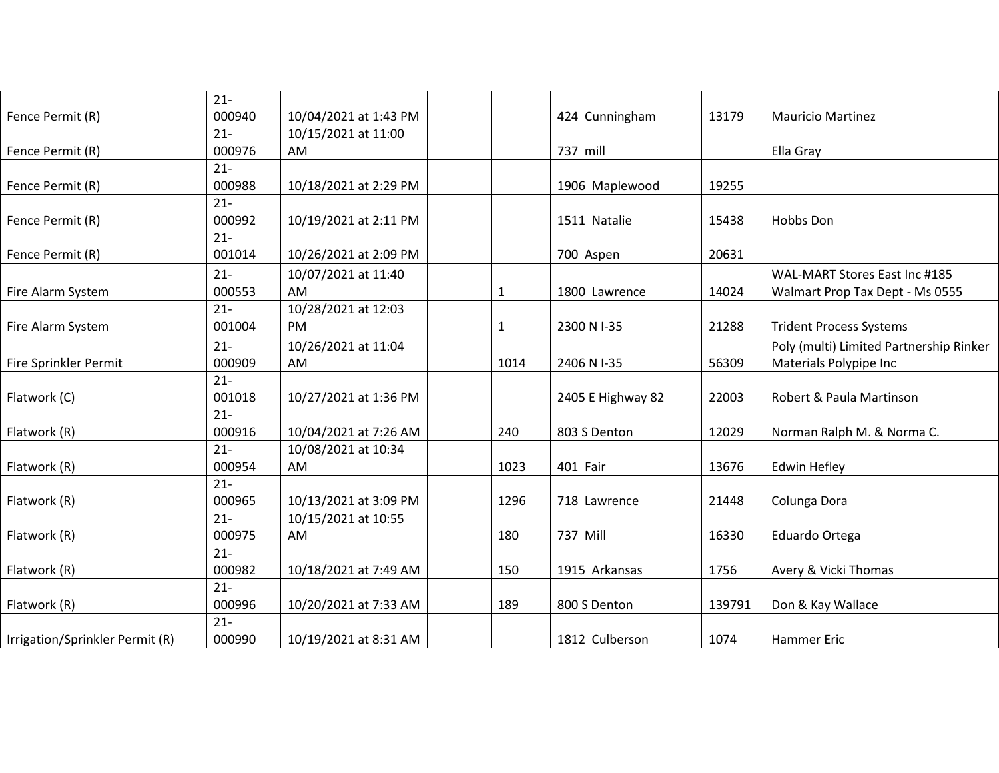|                                 | $21 -$ |                       |              |                   |        |                                         |
|---------------------------------|--------|-----------------------|--------------|-------------------|--------|-----------------------------------------|
| Fence Permit (R)                | 000940 | 10/04/2021 at 1:43 PM |              | 424 Cunningham    | 13179  | <b>Mauricio Martinez</b>                |
|                                 | $21 -$ | 10/15/2021 at 11:00   |              |                   |        |                                         |
| Fence Permit (R)                | 000976 | AM                    |              | 737 mill          |        | Ella Gray                               |
|                                 | $21 -$ |                       |              |                   |        |                                         |
| Fence Permit (R)                | 000988 | 10/18/2021 at 2:29 PM |              | 1906 Maplewood    | 19255  |                                         |
|                                 | $21 -$ |                       |              |                   |        |                                         |
| Fence Permit (R)                | 000992 | 10/19/2021 at 2:11 PM |              | 1511 Natalie      | 15438  | Hobbs Don                               |
|                                 | $21 -$ |                       |              |                   |        |                                         |
| Fence Permit (R)                | 001014 | 10/26/2021 at 2:09 PM |              | 700 Aspen         | 20631  |                                         |
|                                 | $21 -$ | 10/07/2021 at 11:40   |              |                   |        | WAL-MART Stores East Inc #185           |
| Fire Alarm System               | 000553 | AM                    | $\mathbf{1}$ | 1800 Lawrence     | 14024  | Walmart Prop Tax Dept - Ms 0555         |
|                                 | $21 -$ | 10/28/2021 at 12:03   |              |                   |        |                                         |
| Fire Alarm System               | 001004 | <b>PM</b>             | $\mathbf{1}$ | 2300 N I-35       | 21288  | <b>Trident Process Systems</b>          |
|                                 | $21 -$ | 10/26/2021 at 11:04   |              |                   |        | Poly (multi) Limited Partnership Rinker |
| Fire Sprinkler Permit           | 000909 | AM                    | 1014         | 2406 N I-35       | 56309  | Materials Polypipe Inc                  |
|                                 | $21 -$ |                       |              |                   |        |                                         |
| Flatwork (C)                    | 001018 | 10/27/2021 at 1:36 PM |              | 2405 E Highway 82 | 22003  | Robert & Paula Martinson                |
|                                 | $21 -$ |                       |              |                   |        |                                         |
| Flatwork (R)                    | 000916 | 10/04/2021 at 7:26 AM | 240          | 803 S Denton      | 12029  | Norman Ralph M. & Norma C.              |
|                                 | $21 -$ | 10/08/2021 at 10:34   |              |                   |        |                                         |
| Flatwork (R)                    | 000954 | AM                    | 1023         | 401 Fair          | 13676  | <b>Edwin Hefley</b>                     |
|                                 | $21 -$ |                       |              |                   |        |                                         |
| Flatwork (R)                    | 000965 | 10/13/2021 at 3:09 PM | 1296         | 718 Lawrence      | 21448  | Colunga Dora                            |
|                                 | $21 -$ | 10/15/2021 at 10:55   |              |                   |        |                                         |
| Flatwork (R)                    | 000975 | AM                    | 180          | 737 Mill          | 16330  | Eduardo Ortega                          |
|                                 | $21 -$ |                       |              |                   |        |                                         |
| Flatwork (R)                    | 000982 | 10/18/2021 at 7:49 AM | 150          | 1915 Arkansas     | 1756   | Avery & Vicki Thomas                    |
|                                 | $21 -$ |                       |              |                   |        |                                         |
| Flatwork (R)                    | 000996 | 10/20/2021 at 7:33 AM | 189          | 800 S Denton      | 139791 | Don & Kay Wallace                       |
|                                 | $21 -$ |                       |              |                   |        |                                         |
| Irrigation/Sprinkler Permit (R) | 000990 | 10/19/2021 at 8:31 AM |              | 1812 Culberson    | 1074   | Hammer Eric                             |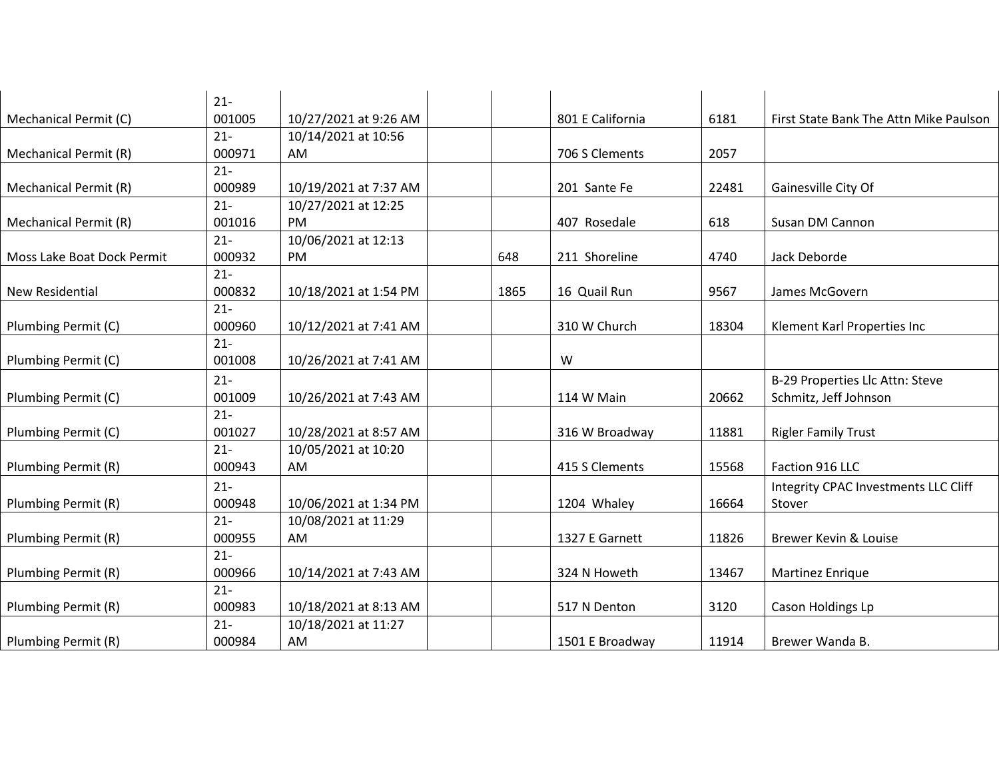|                              | $21 -$ |                       |      |                  |       |                                        |
|------------------------------|--------|-----------------------|------|------------------|-------|----------------------------------------|
| Mechanical Permit (C)        | 001005 | 10/27/2021 at 9:26 AM |      | 801 E California | 6181  | First State Bank The Attn Mike Paulson |
|                              | $21 -$ | 10/14/2021 at 10:56   |      |                  |       |                                        |
| <b>Mechanical Permit (R)</b> | 000971 | AM                    |      | 706 S Clements   | 2057  |                                        |
|                              | $21 -$ |                       |      |                  |       |                                        |
| <b>Mechanical Permit (R)</b> | 000989 | 10/19/2021 at 7:37 AM |      | 201 Sante Fe     | 22481 | Gainesville City Of                    |
|                              | $21 -$ | 10/27/2021 at 12:25   |      |                  |       |                                        |
| Mechanical Permit (R)        | 001016 | PM                    |      | 407 Rosedale     | 618   | Susan DM Cannon                        |
|                              | $21 -$ | 10/06/2021 at 12:13   |      |                  |       |                                        |
| Moss Lake Boat Dock Permit   | 000932 | PM                    | 648  | 211 Shoreline    | 4740  | Jack Deborde                           |
|                              | $21 -$ |                       |      |                  |       |                                        |
| New Residential              | 000832 | 10/18/2021 at 1:54 PM | 1865 | 16 Quail Run     | 9567  | James McGovern                         |
|                              | $21 -$ |                       |      |                  |       |                                        |
| Plumbing Permit (C)          | 000960 | 10/12/2021 at 7:41 AM |      | 310 W Church     | 18304 | Klement Karl Properties Inc            |
|                              | $21 -$ |                       |      |                  |       |                                        |
| Plumbing Permit (C)          | 001008 | 10/26/2021 at 7:41 AM |      | W                |       |                                        |
|                              | $21 -$ |                       |      |                  |       | B-29 Properties Llc Attn: Steve        |
| Plumbing Permit (C)          | 001009 | 10/26/2021 at 7:43 AM |      | 114 W Main       | 20662 | Schmitz, Jeff Johnson                  |
|                              | $21 -$ |                       |      |                  |       |                                        |
| Plumbing Permit (C)          | 001027 | 10/28/2021 at 8:57 AM |      | 316 W Broadway   | 11881 | <b>Rigler Family Trust</b>             |
|                              | $21 -$ | 10/05/2021 at 10:20   |      |                  |       |                                        |
| Plumbing Permit (R)          | 000943 | AM                    |      | 415 S Clements   | 15568 | Faction 916 LLC                        |
|                              | $21 -$ |                       |      |                  |       | Integrity CPAC Investments LLC Cliff   |
| Plumbing Permit (R)          | 000948 | 10/06/2021 at 1:34 PM |      | 1204 Whaley      | 16664 | Stover                                 |
|                              | $21 -$ | 10/08/2021 at 11:29   |      |                  |       |                                        |
| Plumbing Permit (R)          | 000955 | AM                    |      | 1327 E Garnett   | 11826 | Brewer Kevin & Louise                  |
|                              | $21 -$ |                       |      |                  |       |                                        |
| Plumbing Permit (R)          | 000966 | 10/14/2021 at 7:43 AM |      | 324 N Howeth     | 13467 | Martinez Enrique                       |
|                              | $21 -$ |                       |      |                  |       |                                        |
| Plumbing Permit (R)          | 000983 | 10/18/2021 at 8:13 AM |      | 517 N Denton     | 3120  | Cason Holdings Lp                      |
|                              | $21 -$ | 10/18/2021 at 11:27   |      |                  |       |                                        |
| Plumbing Permit (R)          | 000984 | AM                    |      | 1501 E Broadway  | 11914 | Brewer Wanda B.                        |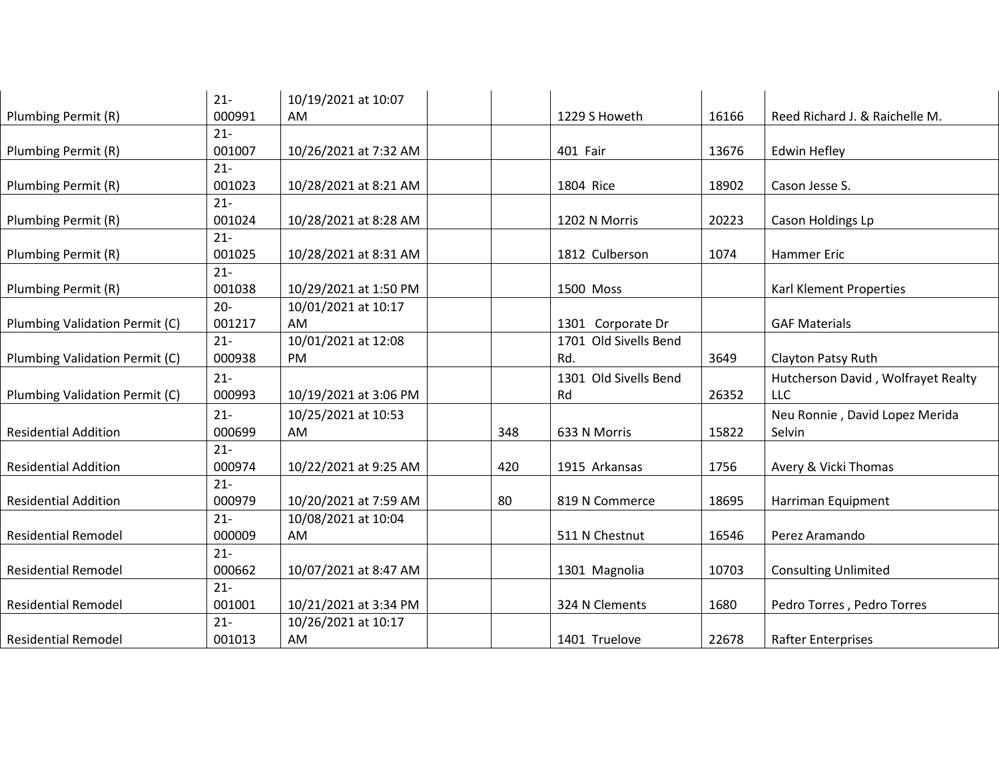|                                | $21 -$ | 10/19/2021 at 10:07   |     |                       |       |                                    |
|--------------------------------|--------|-----------------------|-----|-----------------------|-------|------------------------------------|
| Plumbing Permit (R)            | 000991 | AM                    |     | 1229 S Howeth         | 16166 | Reed Richard J. & Raichelle M.     |
|                                | $21 -$ |                       |     |                       |       |                                    |
| Plumbing Permit (R)            | 001007 | 10/26/2021 at 7:32 AM |     | 401 Fair              | 13676 | <b>Edwin Hefley</b>                |
|                                | $21 -$ |                       |     |                       |       |                                    |
| Plumbing Permit (R)            | 001023 | 10/28/2021 at 8:21 AM |     | 1804 Rice             | 18902 | Cason Jesse S.                     |
|                                | $21 -$ |                       |     |                       |       |                                    |
| Plumbing Permit (R)            | 001024 | 10/28/2021 at 8:28 AM |     | 1202 N Morris         | 20223 | Cason Holdings Lp                  |
|                                | $21 -$ |                       |     |                       |       |                                    |
| Plumbing Permit (R)            | 001025 | 10/28/2021 at 8:31 AM |     | 1812 Culberson        | 1074  | Hammer Eric                        |
|                                | $21 -$ |                       |     |                       |       |                                    |
| Plumbing Permit (R)            | 001038 | 10/29/2021 at 1:50 PM |     | 1500 Moss             |       | Karl Klement Properties            |
|                                | $20 -$ | 10/01/2021 at 10:17   |     |                       |       |                                    |
| Plumbing Validation Permit (C) | 001217 | AM                    |     | 1301 Corporate Dr     |       | <b>GAF Materials</b>               |
|                                | $21 -$ | 10/01/2021 at 12:08   |     | 1701 Old Sivells Bend |       |                                    |
| Plumbing Validation Permit (C) | 000938 | PM                    |     | Rd.                   | 3649  | Clayton Patsy Ruth                 |
|                                | $21 -$ |                       |     | 1301 Old Sivells Bend |       | Hutcherson David, Wolfrayet Realty |
| Plumbing Validation Permit (C) | 000993 | 10/19/2021 at 3:06 PM |     | Rd                    | 26352 | LLC                                |
|                                | $21 -$ | 10/25/2021 at 10:53   |     |                       |       | Neu Ronnie, David Lopez Merida     |
| <b>Residential Addition</b>    | 000699 | AM                    | 348 | 633 N Morris          | 15822 | Selvin                             |
|                                | $21 -$ |                       |     |                       |       |                                    |
| <b>Residential Addition</b>    | 000974 | 10/22/2021 at 9:25 AM | 420 | 1915 Arkansas         | 1756  | Avery & Vicki Thomas               |
|                                | $21 -$ |                       |     |                       |       |                                    |
| <b>Residential Addition</b>    | 000979 | 10/20/2021 at 7:59 AM | 80  | 819 N Commerce        | 18695 | Harriman Equipment                 |
|                                | $21 -$ | 10/08/2021 at 10:04   |     |                       |       |                                    |
| <b>Residential Remodel</b>     | 000009 | AM                    |     | 511 N Chestnut        | 16546 | Perez Aramando                     |
|                                | $21 -$ |                       |     |                       |       |                                    |
| <b>Residential Remodel</b>     | 000662 | 10/07/2021 at 8:47 AM |     | 1301 Magnolia         | 10703 | <b>Consulting Unlimited</b>        |
|                                | $21 -$ |                       |     |                       |       |                                    |
| <b>Residential Remodel</b>     | 001001 | 10/21/2021 at 3:34 PM |     | 324 N Clements        | 1680  | Pedro Torres, Pedro Torres         |
|                                | $21 -$ | 10/26/2021 at 10:17   |     |                       |       |                                    |
| <b>Residential Remodel</b>     | 001013 | AM                    |     | 1401 Truelove         | 22678 | <b>Rafter Enterprises</b>          |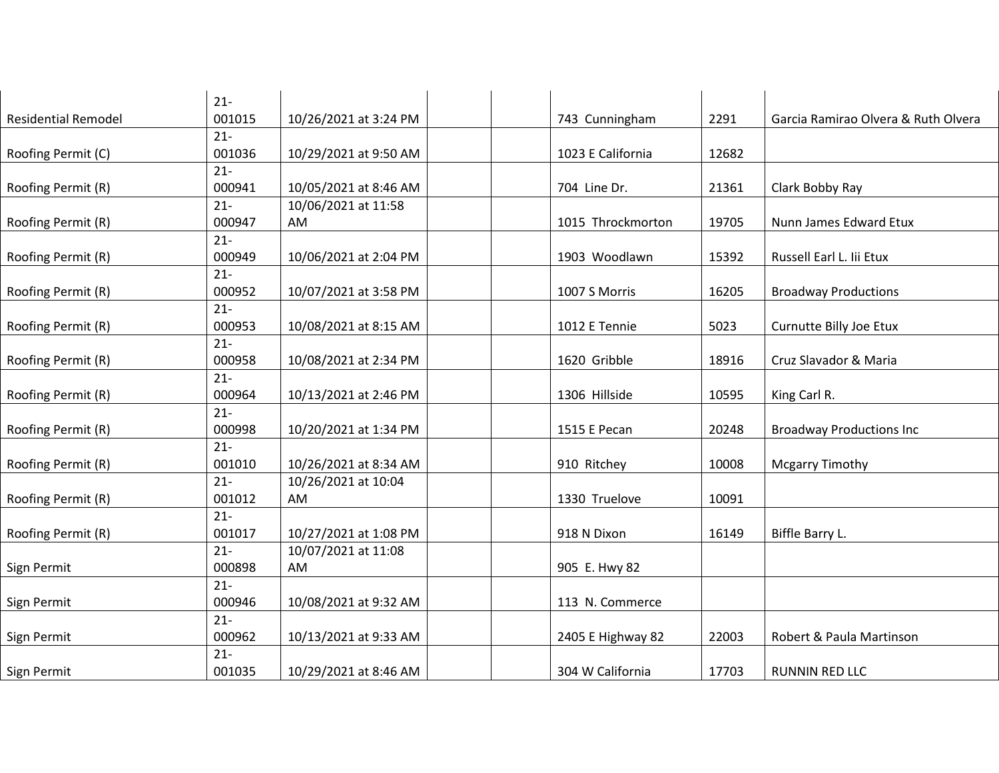| $21 -$                                 |                       |                   |       |                                     |
|----------------------------------------|-----------------------|-------------------|-------|-------------------------------------|
| <b>Residential Remodel</b><br>001015   | 10/26/2021 at 3:24 PM | 743 Cunningham    | 2291  | Garcia Ramirao Olvera & Ruth Olvera |
| $21 -$                                 |                       |                   |       |                                     |
| 001036<br>Roofing Permit (C)           | 10/29/2021 at 9:50 AM | 1023 E California | 12682 |                                     |
| $21 -$                                 |                       |                   |       |                                     |
| 000941<br>Roofing Permit (R)           | 10/05/2021 at 8:46 AM | 704 Line Dr.      | 21361 | Clark Bobby Ray                     |
| $21 -$                                 | 10/06/2021 at 11:58   |                   |       |                                     |
| 000947<br>Roofing Permit (R)           | AM                    | 1015 Throckmorton | 19705 | Nunn James Edward Etux              |
| $21 -$                                 |                       |                   |       |                                     |
| 000949<br>Roofing Permit (R)           | 10/06/2021 at 2:04 PM | 1903 Woodlawn     | 15392 | Russell Earl L. Iii Etux            |
| $21 -$                                 |                       |                   |       |                                     |
| 000952<br>Roofing Permit (R)           | 10/07/2021 at 3:58 PM | 1007 S Morris     | 16205 | <b>Broadway Productions</b>         |
| $21 -$                                 |                       |                   |       |                                     |
| 000953<br>Roofing Permit (R)           | 10/08/2021 at 8:15 AM | 1012 E Tennie     | 5023  | Curnutte Billy Joe Etux             |
| $21 -$                                 |                       |                   |       |                                     |
| 000958<br>Roofing Permit (R)           | 10/08/2021 at 2:34 PM | 1620 Gribble      | 18916 | Cruz Slavador & Maria               |
| $21 -$                                 |                       |                   |       |                                     |
| 000964<br>Roofing Permit (R)           | 10/13/2021 at 2:46 PM | 1306 Hillside     | 10595 | King Carl R.                        |
| $21 -$                                 |                       |                   |       |                                     |
| Roofing Permit (R)<br>000998<br>$21 -$ | 10/20/2021 at 1:34 PM | 1515 E Pecan      | 20248 | <b>Broadway Productions Inc</b>     |
| Roofing Permit (R)<br>001010           | 10/26/2021 at 8:34 AM | 910 Ritchey       | 10008 | <b>Mcgarry Timothy</b>              |
| $21 -$                                 | 10/26/2021 at 10:04   |                   |       |                                     |
| 001012<br>Roofing Permit (R)           | AM                    | 1330 Truelove     | 10091 |                                     |
| $21 -$                                 |                       |                   |       |                                     |
| 001017<br>Roofing Permit (R)           | 10/27/2021 at 1:08 PM | 918 N Dixon       | 16149 | Biffle Barry L.                     |
| $21 -$                                 | 10/07/2021 at 11:08   |                   |       |                                     |
| 000898<br>Sign Permit                  | AM                    | 905 E. Hwy 82     |       |                                     |
| $21 -$                                 |                       |                   |       |                                     |
| 000946<br>Sign Permit                  | 10/08/2021 at 9:32 AM | 113 N. Commerce   |       |                                     |
| $21 -$                                 |                       |                   |       |                                     |
| 000962<br>Sign Permit                  | 10/13/2021 at 9:33 AM | 2405 E Highway 82 | 22003 | Robert & Paula Martinson            |
| $21 -$                                 |                       |                   |       |                                     |
| 001035<br>Sign Permit                  | 10/29/2021 at 8:46 AM | 304 W California  | 17703 | <b>RUNNIN RED LLC</b>               |